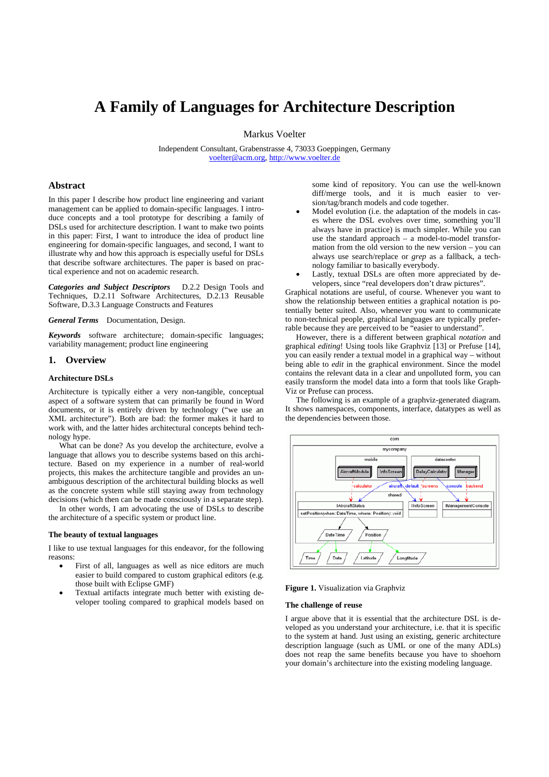# **A Family of Languages for Architecture Description**

Markus Voelter

Independent Consultant, Grabenstrasse 4, 73033 Goeppingen, Germany voelter@acm.org, http://www.voelter.de

# **Abstract**

In this paper I describe how product line engineering and variant management can be applied to domain-specific languages. I introduce concepts and a tool prototype for describing a family of DSLs used for architecture description. I want to make two points in this paper: First, I want to introduce the idea of product line engineering for domain-specific languages, and second, I want to illustrate why and how this approach is especially useful for DSLs that describe software architectures. The paper is based on practical experience and not on academic research.

*Categories and Subject Descriptors* D.2.2 Design Tools and Techniques, D.2.11 Software Architectures, D.2.13 Reusable Software, D.3.3 Language Constructs and Features

*General Terms* Documentation, Design.

*Keywords* software architecture; domain-specific languages; variability management; product line engineering

## **1. Overview**

## **Architecture DSLs**

Architecture is typically either a very non-tangible, conceptual aspect of a software system that can primarily be found in Word documents, or it is entirely driven by technology ("we use an XML architecture"). Both are bad: the former makes it hard to work with, and the latter hides architectural concepts behind technology hype.

What can be done? As you develop the architecture, evolve a language that allows you to describe systems based on this architecture. Based on my experience in a number of real-world projects, this makes the architecture tangible and provides an unambiguous description of the architectural building blocks as well as the concrete system while still staying away from technology decisions (which then can be made consciously in a separate step).

In other words, I am advocating the use of DSLs to describe the architecture of a specific system or product line.

#### **The beauty of textual languages**

I like to use textual languages for this endeavor, for the following reasons:

- First of all, languages as well as nice editors are much easier to build compared to custom graphical editors (e.g. those built with Eclipse GMF)
- Textual artifacts integrate much better with existing developer tooling compared to graphical models based on

some kind of repository. You can use the well-known diff/merge tools, and it is much easier to version/tag/branch models and code together.

- Model evolution (i.e. the adaptation of the models in cases where the DSL evolves over time, something you'll always have in practice) is much simpler. While you can use the standard approach – a model-to-model transformation from the old version to the new version – you can always use search/replace or *grep* as a fallback, a technology familiar to basically everybody.
- Lastly, textual DSLs are often more appreciated by developers, since "real developers don't draw pictures".

Graphical notations are useful, of course. Whenever you want to show the relationship between entities a graphical notation is potentially better suited. Also, whenever you want to communicate to non-technical people, graphical languages are typically preferrable because they are perceived to be "easier to understand".

However, there is a different between graphical *notation* and graphical *editing*! Using tools like Graphviz [13] or Prefuse [14], you can easily render a textual model in a graphical way – without being able to *edit* in the graphical environment. Since the model contains the relevant data in a clear and unpolluted form, you can easily transform the model data into a form that tools like Graph-Viz or Prefuse can process.

The following is an example of a graphviz-generated diagram. It shows namespaces, components, interface, datatypes as well as the dependencies between those.



**Figure 1.** Visualization via Graphviz

### **The challenge of reuse**

I argue above that it is essential that the architecture DSL is developed as you understand your architecture, i.e. that it is specific to the system at hand. Just using an existing, generic architecture description language (such as UML or one of the many ADLs) does not reap the same benefits because you have to shoehorn your domain's architecture into the existing modeling language.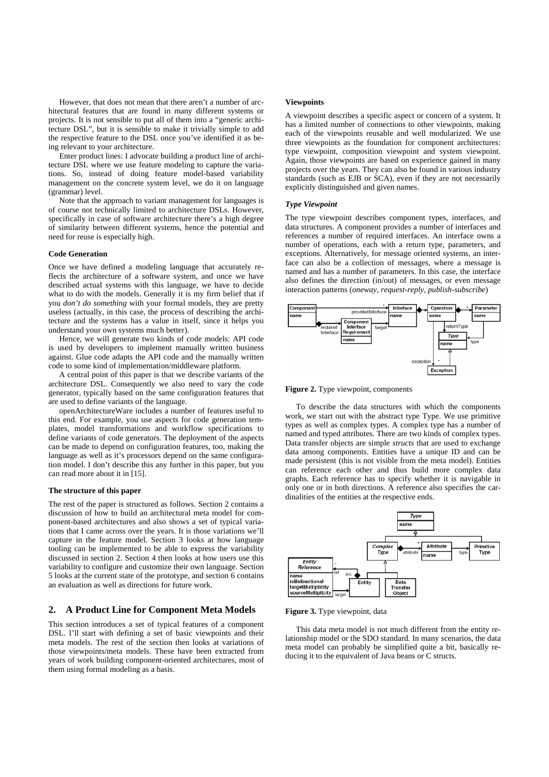However, that does not mean that there aren't a number of architectural features that are found in many different systems or projects. It is not sensible to put all of them into a "generic architecture DSL", but it is sensible to make it trivially simple to add the respective feature to the DSL once you've identified it as being relevant to your architecture.

Enter product lines: I advocate building a product line of architecture DSL where we use feature modeling to capture the variations. So, instead of doing feature model-based variability management on the concrete system level, we do it on language (grammar) level.

Note that the approach to variant management for languages is of course not technically limited to architecture DSLs. However, specifically in case of software architecture there's a high degree of similarity between different systems, hence the potential and need for reuse is especially high.

### **Code Generation**

Once we have defined a modeling language that accurately reflects the architecture of a software system, and once we have described actual systems with this language, we have to decide what to do with the models. Generally it is my firm belief that if you *don't do something* with your formal models, they are pretty useless (actually, in this case, the process of describing the architecture and the systems has a value in itself, since it helps you understand your own systems much better).

Hence, we will generate two kinds of code models: API code is used by developers to implement manually written business against. Glue code adapts the API code and the manually written code to some kind of implementation/middleware platform.

A central point of this paper is that we describe variants of the architecture DSL. Consequently we also need to vary the code generator, typically based on the same configuration features that are used to define variants of the language.

openArchitectureWare includes a number of features useful to this end. For example, you use aspects for code generation templates, model transformations and workflow specifications to define variants of code generators. The deployment of the aspects can be made to depend on configuration features, too, making the language as well as it's processors depend on the same configuration model. I don't describe this any further in this paper, but you can read more about it in [15].

## **The structure of this paper**

The rest of the paper is structured as follows. Section 2 contains a discussion of how to build an architectural meta model for component-based architectures and also shows a set of typical variations that I came across over the years. It is those variations we'll capture in the feature model. Section 3 looks at how language tooling can be implemented to be able to express the variability discussed in section 2. Section 4 then looks at how users use this variability to configure and customize their own language. Section 5 looks at the current state of the prototype, and section 6 contains an evaluation as well as directions for future work.

# **2. A Product Line for Component Meta Models**

This section introduces a set of typical features of a component DSL. I'll start with defining a set of basic viewpoints and their meta models. The rest of the section then looks at variations of those viewpoints/meta models. These have been extracted from years of work building component-oriented architectures, most of them using formal modeling as a basis.

#### **Viewpoints**

A viewpoint describes a specific aspect or concern of a system. It has a limited number of connections to other viewpoints, making each of the viewpoints reusable and well modularized. We use three viewpoints as the foundation for component architectures: type viewpoint, composition viewpoint and system viewpoint. Again, those viewpoints are based on experience gained in many projects over the years. They can also be found in various industry standards (such as EJB or SCA), even if they are not necessarily explicitly distinguished and given names.

#### *Type Viewpoint*

The type viewpoint describes component types, interfaces, and data structures. A component provides a number of interfaces and references a number of required interfaces. An interface owns a number of operations, each with a return type, parameters, and exceptions. Alternatively, for message oriented systems, an interface can also be a collection of messages, where a message is named and has a number of parameters. In this case, the interface also defines the direction (in/out) of messages, or even message interaction patterns (*oneway, request-reply, publish-subscribe*)





To describe the data structures with which the components work, we start out with the abstract type Type. We use primitive types as well as complex types. A complex type has a number of named and typed attributes. There are two kinds of complex types. Data transfer objects are simple *structs* that are used to exchange data among components. Entities have a unique ID and can be made persistent (this is not visible from the meta model). Entities can reference each other and thus build more complex data graphs. Each reference has to specify whether it is navigable in only one or in both directions. A reference also specifies the cardinalities of the entities at the respective ends.



**Figure 3.** Type viewpoint, data

This data meta model is not much different from the entity relationship model or the SDO standard. In many scenarios, the data meta model can probably be simplified quite a bit, basically reducing it to the equivalent of Java beans or C structs.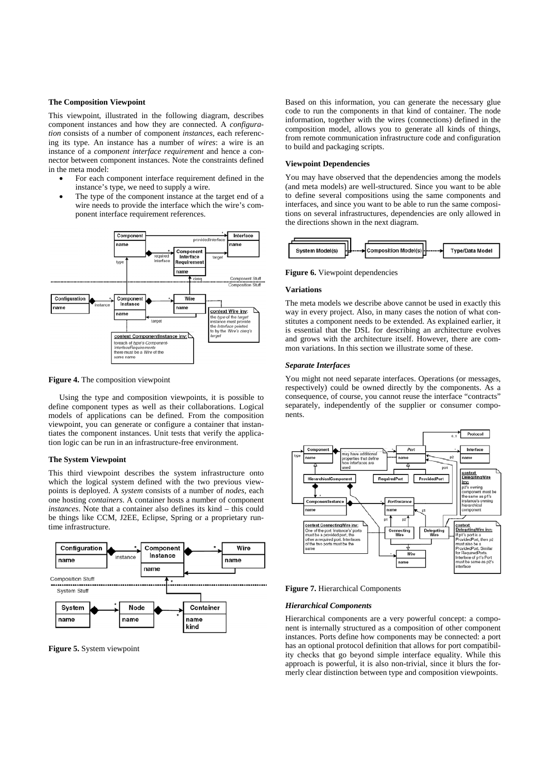### **The Composition Viewpoint**

This viewpoint, illustrated in the following diagram, describes component instances and how they are connected. A *configuration* consists of a number of component *instances*, each referencing its type. An instance has a number of *wires*: a wire is an instance of a *component interface requirement* and hence a connector between component instances. Note the constraints defined in the meta model:

- For each component interface requirement defined in the instance's type, we need to supply a wire.
- The type of the component instance at the target end of a wire needs to provide the interface which the wire's component interface requirement references.



**Figure 4.** The composition viewpoint

Using the type and composition viewpoints, it is possible to define component types as well as their collaborations. Logical models of applications can be defined. From the composition viewpoint, you can generate or configure a container that instantiates the component instances. Unit tests that verify the application logic can be run in an infrastructure-free environment.

## **The System Viewpoint**

This third viewpoint describes the system infrastructure onto which the logical system defined with the two previous viewpoints is deployed. A *system* consists of a number of *nodes*, each one hosting *containers*. A container hosts a number of component *instances*. Note that a container also defines its kind – this could be things like CCM, J2EE, Eclipse, Spring or a proprietary runtime infrastructure.



**Figure 5.** System viewpoint

Based on this information, you can generate the necessary glue code to run the components in that kind of container. The node information, together with the wires (connections) defined in the composition model, allows you to generate all kinds of things, from remote communication infrastructure code and configuration to build and packaging scripts.

#### **Viewpoint Dependencies**

You may have observed that the dependencies among the models (and meta models) are well-structured. Since you want to be able to define several compositions using the same components and interfaces, and since you want to be able to run the same compositions on several infrastructures, dependencies are only allowed in the directions shown in the next diagram.



**Figure 6.** Viewpoint dependencies

#### **Variations**

The meta models we describe above cannot be used in exactly this way in every project. Also, in many cases the notion of what constitutes a component needs to be extended. As explained earlier, it is essential that the DSL for describing an architecture evolves and grows with the architecture itself. However, there are common variations. In this section we illustrate some of these.

## *Separate Interfaces*

You might not need separate interfaces. Operations (or messages, respectively) could be owned directly by the components. As a consequence, of course, you cannot reuse the interface "contracts" separately, independently of the supplier or consumer components.



**Figure 7.** Hierarchical Components

### *Hierarchical Components*

Hierarchical components are a very powerful concept: a component is internally structured as a composition of other component instances. Ports define how components may be connected: a port has an optional protocol definition that allows for port compatibility checks that go beyond simple interface equality. While this approach is powerful, it is also non-trivial, since it blurs the formerly clear distinction between type and composition viewpoints.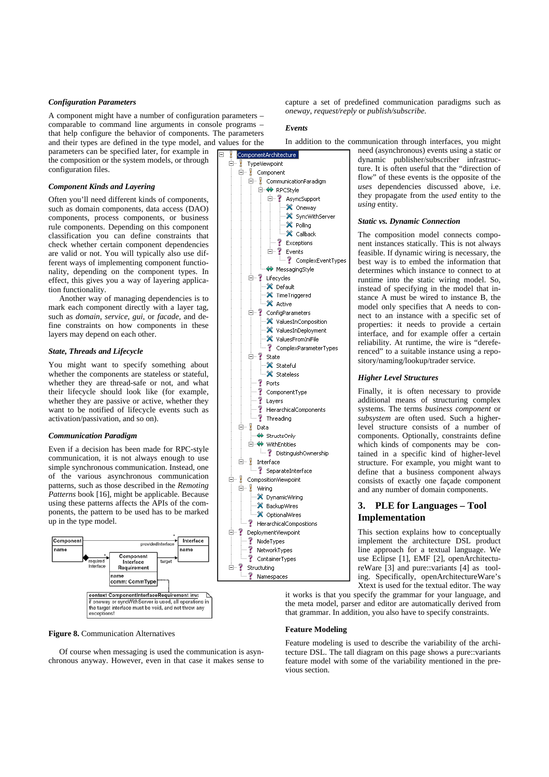## *Configuration Parameters*

A component might have a number of configuration parameters – comparable to command line arguments in console programs – that help configure the behavior of components. The parameters and their types are defined in the type model, and values for the

parameters can be specified later, for example in the composition or the system models, or through configuration files.

## *Component Kinds and Layering*

Often you'll need different kinds of components, such as domain components, data access (DAO) components, process components, or business rule components. Depending on this component classification you can define constraints that check whether certain component dependencies are valid or not. You will typically also use different ways of implementing component functionality, depending on the component types. In effect, this gives you a way of layering application functionality.

Another way of managing dependencies is to mark each component directly with a layer tag, such as *domain*, *service*, *gui*, or *facade*, and define constraints on how components in these layers may depend on each other.

## *State, Threads and Lifecycle*

You might want to specify something about whether the components are stateless or stateful, whether they are thread-safe or not, and what their lifecycle should look like (for example, whether they are passive or active, whether they want to be notified of lifecycle events such as activation/passivation, and so on).

### *Communication Paradigm*

Even if a decision has been made for RPC-style communication, it is not always enough to use simple synchronous communication. Instead, one of the various asynchronous communication patterns, such as those described in the *Remoting Patterns* book [16], might be applicable. Because using these patterns affects the APIs of the components, the pattern to be used has to be marked up in the type model.



### **Figure 8.** Communication Alternatives

Of course when messaging is used the communication is asynchronous anyway. However, even in that case it makes sense to capture a set of predefined communication paradigms such as *oneway*, *request/reply* or *publish/subscribe*.

## *Events*

In addition to the communication through interfaces, you might

ComponentArchite Ėŀ TypeViewpoint **E** *Component* **E** CommunicationParadigm **E-O RPCStyle** □ ? AsyncSupport X Oneway X SyncWithServer X Polling X Callback Exceptions ≐-? Events ? ComplexEventTypes ← MessagingStyle **E** P Lifecycles X Default X TimeTriggered X Active  $\stackrel{\text{i}}{\Rightarrow}$  ConfigParameters · X ValuesInComposition <sup>22</sup> ValuesInDenloyment X ValuesFromIniFile ComplexParameterTypes  $\mathbb{H}$  ? State X Stateful X Stateless  $\sqrt{2}$  Ports ? ComponentType Ŷ Layers Ś. HierarchicalComponents  $\frac{1}{2}$  Threading <sup>i</sup> <mark>≬</mark> Data StructsOnly □ WithEntities DistinguishOwnership ė− ! Interface SeparateInterface □ CompositionViewpoint 白 y Wiring X DynamicWiring X BackupWires X OptionalWires P HierarchicalCompositions □ ? DeploymentViewpoint ? NodeTypes ż NetworkTypes ? ContainerTypes



need (asynchronous) events using a static or dynamic publisher/subscriber infrastructure. It is often useful that the "direction of flow" of these events is the opposite of the *uses* dependencies discussed above, i.e. they propagate from the *used* entity to the *using* entity.

#### *Static vs. Dynamic Connection*

The composition model connects component instances statically. This is not always feasible. If dynamic wiring is necessary, the best way is to embed the information that determines which instance to connect to at runtime into the static wiring model. So, instead of specifying in the model that instance A must be wired to instance B, the model only specifies that A needs to connect to an instance with a specific set of properties: it needs to provide a certain interface, and for example offer a certain reliability. At runtime, the wire is "dereferenced" to a suitable instance using a repository/naming/lookup/trader service.

## *Higher Level Structures*

Finally, it is often necessary to provide additional means of structuring complex systems. The terms *business component* or *subsystem* are often used. Such a higherlevel structure consists of a number of components. Optionally, constraints define which kinds of components may be contained in a specific kind of higher-level structure. For example, you might want to define that a business component always consists of exactly one façade component and any number of domain components.

# **3. PLE for Languages – Tool Implementation**

This section explains how to conceptually implement the architecture DSL product line approach for a textual language. We use Eclipse [1], EMF [2], openArchitectureWare [3] and pure::variants [4] as tooling. Specifically, openArchitectureWare's Xtext is used for the textual editor. The way

it works is that you specify the grammar for your language, and the meta model, parser and editor are automatically derived from that grammar. In addition, you also have to specify constraints.

## **Feature Modeling**

Feature modeling is used to describe the variability of the architecture DSL. The tall diagram on this page shows a pure::variants feature model with some of the variability mentioned in the previous section.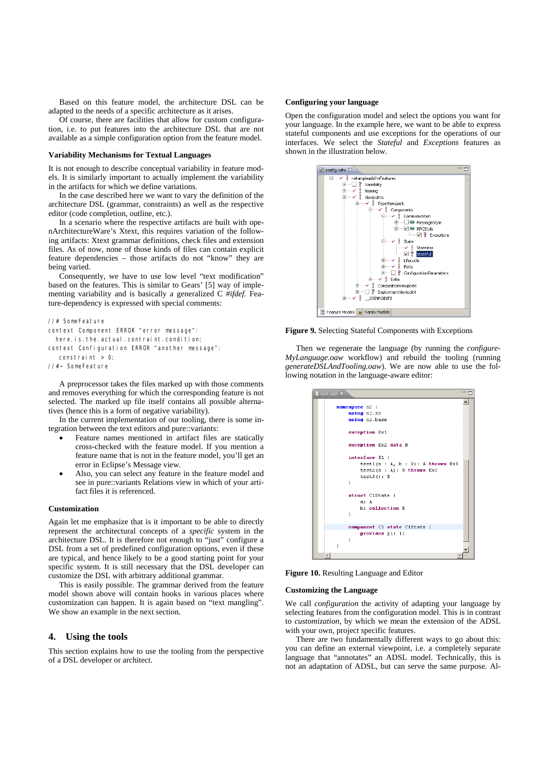Based on this feature model, the architecture DSL can be adapted to the needs of a specific architecture as it arises.

Of course, there are facilities that allow for custom configuration, i.e. to put features into the architecture DSL that are not available as a simple configuration option from the feature model.

## **Variability Mechanisms for Textual Languages**

It is not enough to describe conceptual variability in feature models. It is similarly important to actually implement the variability in the artifacts for which we define variations.

In the case described here we want to vary the definition of the architecture DSL (grammar, constraints) as well as the respective editor (code completion, outline, etc.).

In a scenario where the respective artifacts are built with openArchitectureWare's Xtext, this requires variation of the following artifacts: Xtext grammar definitions, check files and extension files. As of now, none of those kinds of files can contain explicit feature dependencies – those artifacts do not "know" they are being varied.

Consequently, we have to use low level "text modification" based on the features. This is similar to Gears' [5] way of implementing variability and is basically a generalized C *#ifdef.* Feature-dependency is expressed with special comments:

## //# SomeFeature

context Component ERROR "error message":

here. is. the. actual. contraint. condition;

context Configuration ERROR "another message":

constraint  $> 0$ ;

//#~ SomeFeature

A preprocessor takes the files marked up with those comments and removes everything for which the corresponding feature is not selected. The marked up file itself contains all possible alternatives (hence this is a form of negative variability).

In the current implementation of our tooling, there is some integration between the text editors and pure::variants:

- Feature names mentioned in artifact files are statically cross-checked with the feature model. If you mention a feature name that is not in the feature model, you'll get an error in Eclipse's Message view.
- Also, you can select any feature in the feature model and see in pure::variants Relations view in which of your artifact files it is referenced.

## **Customization**

Again let me emphasize that is it important to be able to directly represent the architectural concepts of a *specific* system in the architecture DSL. It is therefore not enough to "just" configure a DSL from a set of predefined configuration options, even if these are typical, and hence likely to be a good starting point for your specific system. It is still necessary that the DSL developer can customize the DSL with arbitrary additional grammar.

This is easily possible. The grammar derived from the feature model shown above will contain hooks in various places where customization can happen. It is again based on "text mangling". We show an example in the next section.

## **4. Using the tools**

This section explains how to use the tooling from the perspective of a DSL developer or architect.

## **Configuring your language**

Open the configuration model and select the options you want for your language. In the example here, we want to be able to express stateful components and use exceptions for the operations of our interfaces. We select the *Stateful* and *Exceptions* features as shown in the illustration below.



**Figure 9.** Selecting Stateful Components with Exceptions

Then we regenerate the language (by running the *configure-MyLanguage.oaw* workflow) and rebuild the tooling (running *generateDSLAndTooling.oaw*). We are now able to use the following notation in the language-aware editor:

| test.adsl X                                        | $\equiv$ |
|----------------------------------------------------|----------|
|                                                    |          |
| namespace n2 {                                     |          |
| using n1.n3                                        |          |
| using n1.base                                      |          |
| exception Ex1                                      |          |
| exception Ex2 data B                               |          |
| interface I1 (                                     |          |
| test1(a : $\lambda$ , b : B): $\lambda$ throws Ex1 |          |
| $test2(a : A): B$ throws $Ex2$                     |          |
| test3() : B                                        |          |
| ¥                                                  |          |
|                                                    |          |
| struct C1State (                                   |          |
| a: A                                               |          |
| b: collection B                                    |          |
| ¥                                                  |          |
|                                                    |          |
| component C1 state C1State {                       |          |
| provides p1: I1                                    |          |
| ¥                                                  |          |
| ١                                                  |          |
|                                                    |          |
|                                                    |          |

**Figure 10.** Resulting Language and Editor

## **Customizing the Language**

We call *configuration* the activity of adapting your language by selecting features from the configuration model. This is in contrast to *customization*, by which we mean the extension of the ADSL with your own, project specific features.

There are two fundamentally different ways to go about this: you can define an external viewpoint, i.e. a completely separate language that "annotates" an ADSL model. Technically, this is not an adaptation of ADSL, but can serve the same purpose. Al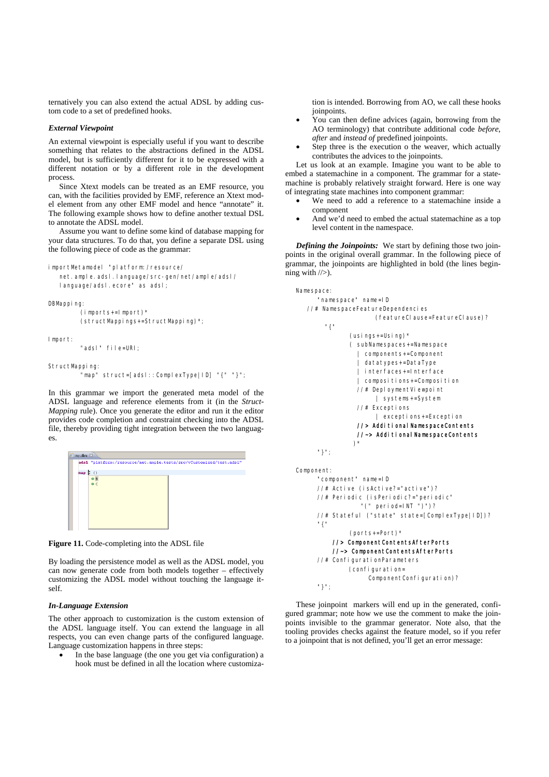ternatively you can also extend the actual ADSL by adding custom code to a set of predefined hooks.

## *External Viewpoint*

An external viewpoint is especially useful if you want to describe something that relates to the abstractions defined in the ADSL model, but is sufficiently different for it to be expressed with a different notation or by a different role in the development process.

Since Xtext models can be treated as an EMF resource, you can, with the facilities provided by EMF, reference an Xtext model element from any other EMF model and hence "annotate" it. The following example shows how to define another textual DSL to annotate the ADSL model.

Assume you want to define some kind of database mapping for your data structures. To do that, you define a separate DSL using the following piece of code as the grammar:

```
importMetamodel "platform:/resource/
```
net. ample. adsl. language/src-gen/net/ample/adsl/ language/adsl.ecore" as adsl;

```
DBMapping:
```

```
 (imports+=Import)* 
 (structMappings+=StructMapping)*;
```
Import:

"adsl" file=URI;

StructMapping:

```
 "map" struct=[adsl::ComplexType|ID] "{" "}";
```
In this grammar we import the generated meta model of the ADSL language and reference elements from it (in the *Struct-Mapping* rule). Once you generate the editor and run it the editor provides code completion and constraint checking into the ADSL file, thereby providing tight integration between the two languages.

| my.dbm 23 |             |                                                                     |  |  |  |
|-----------|-------------|---------------------------------------------------------------------|--|--|--|
|           |             | adsl "platform:/resource/net.ample.tests/src/vCustomized/test.adsl" |  |  |  |
| map       | $\langle$ 1 |                                                                     |  |  |  |
|           | B<br>◉      |                                                                     |  |  |  |
|           |             |                                                                     |  |  |  |



By loading the persistence model as well as the ADSL model, you can now generate code from both models together – effectively customizing the ADSL model without touching the language itself.

### *In-Language Extension*

The other approach to customization is the custom extension of the ADSL language itself. You can extend the language in all respects, you can even change parts of the configured language. Language customization happens in three steps:

In the base language (the one you get via configuration) a hook must be defined in all the location where customiza-

tion is intended. Borrowing from AO, we call these hooks joinpoints.

- You can then define advices (again, borrowing from the AO terminology) that contribute additional code *before*, *after* and *instead of* predefined joinpoints.
- Step three is the execution o the weaver, which actually contributes the advices to the joinpoints.

Let us look at an example. Imagine you want to be able to embed a statemachine in a component. The grammar for a statemachine is probably relatively straight forward. Here is one way of integrating state machines into component grammar:

- We need to add a reference to a statemachine inside a component
- And we'd need to embed the actual statemachine as a top level content in the namespace.

*Defining the Joinpoints:* We start by defining those two joinpoints in the original overall grammar. In the following piece of grammar, the joinpoints are highlighted in bold (the lines beginning with  $/\rangle$ ).

```
Namespace: 
       "namespace" name=ID 
    //# NamespaceFeatureDependencies 
                        (featureClause=FeatureClause)? 
         "{" 
                (usings+=Using)* 
                ( subNamespaces+=Namespace 
                    | components+=Component 
                     | datatypes+=DataType 
                   | interfaces+=Interface 
                   | compositions+=Composition 
                   //# DeploymentViewpoint 
                        | systems+=System 
                   //# Exceptions 
                        | exceptions+=Exception 
                  //> AdditionalNamespaceContents 
                 //~> Additional NamespaceContents
) *
       "}"; 
Component: 
       "component" name=ID 
       //# Active (isActive?="active")? 
       //# Periodic (isPeriodic?="periodic" 
                   "(" period=INT ")")? 
       //# Stateful ("state" state=[ComplexType|ID])? 
       "{" 
                (ports+=Port)*
```

```
 //> ComponentContentsAfterPorts 
     //~> ComponentContentsAfterPorts 
 //# ConfigurationParameters 
          (configuration= 
              ComponentConfiguration)?
 "}";
```
These joinpoint markers will end up in the generated, configured grammar; note how we use the comment to make the joinpoints invisible to the grammar generator. Note also, that the tooling provides checks against the feature model, so if you refer to a joinpoint that is not defined, you'll get an error message: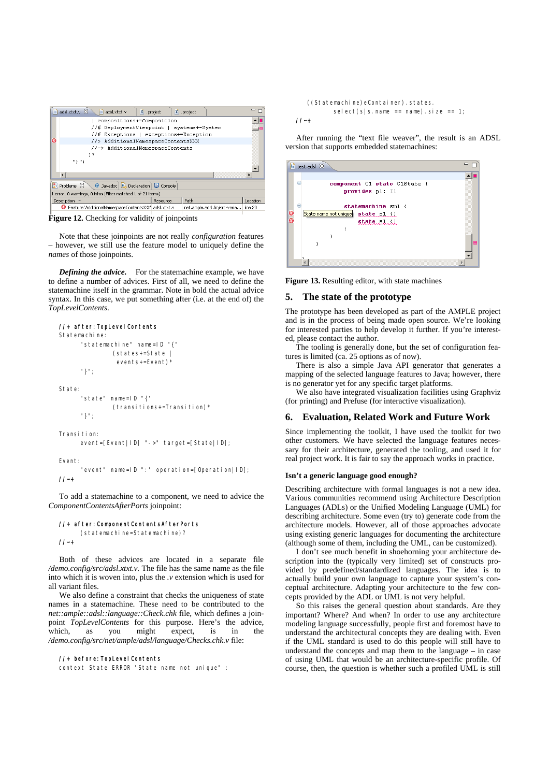| adsl.xtxt.v 23<br>adsl.xtxt.v<br>e<br>X .project            |          | X project |  |          |  |  |
|-------------------------------------------------------------|----------|-----------|--|----------|--|--|
| compositions+=Composition                                   |          |           |  |          |  |  |
| //# DeploymentViewpoint   systems+=System                   |          |           |  |          |  |  |
| //# Exceptions   exceptions+=Exception                      |          |           |  |          |  |  |
| $\overline{\alpha}$<br>//> AdditionalNamespaceContentsXXX   |          |           |  |          |  |  |
| //~> AdditionalNamespaceContents                            |          |           |  |          |  |  |
| ۰ *                                                         |          |           |  |          |  |  |
|                                                             |          |           |  |          |  |  |
| m3 m.                                                       |          |           |  |          |  |  |
|                                                             |          |           |  |          |  |  |
|                                                             |          |           |  |          |  |  |
| @ Javadoc   B Declaration   D Console<br>Problems &         |          |           |  |          |  |  |
| 1 error, 0 warnings, 0 infos (Filter matched 1 of 21 items) |          |           |  |          |  |  |
| <b>Description</b>                                          | Resource | Path      |  | Location |  |  |

**Figure 12.** Checking for validity of joinpoints

Note that these joinpoints are not really *configuration* features – however, we still use the feature model to uniquely define the *names* of those joinpoints.

*Defining the advice.* For the statemachine example, we have to define a number of advices. First of all, we need to define the statemachine itself in the grammar. Note in bold the actual advice syntax. In this case, we put something after (i.e. at the end of) the *TopLevelContents*.

# //+ after: TopLevel Contents

```
Statemachine: 
       "statemachine" name=ID "{" 
                 (states+=State | 
                  events+=Event)* 
       "}"; 
State: 
       "state" name=ID "{" 
                 (transitions+=Transition)* 
       "}"; 
Transition: 
       event=[Event|ID] "->" target=[State|ID];
```
Event:

 "event" name=ID ":" operation=[Operation|ID]; //~+

To add a statemachine to a component, we need to advice the *ComponentContentsAfterPorts* joinpoint:

```
//+ after:ComponentContentsAfterPorts
```

```
 (statemachine=Statemachine)?
```
 $1/|-+$ 

Both of these advices are located in a separate file */demo.config/src/adsl.xtxt.v.* The file has the same name as the file into which it is woven into, plus the *.v* extension which is used for all variant files.

We also define a constraint that checks the uniqueness of state names in a statemachine. These need to be contributed to the *net::ample::adsl::language::Check.chk* file, which defines a joinpoint *TopLevelContents* for this purpose. Here's the advice, which, as you might expect, is in the which, as you might expect, is in the */demo.config/src/net/ample/adsl/language/Checks.chk.v* file:

# //+ before:TopLevelContents

context State ERROR "State name not unique" :

 ((Statemachine)eContainer).states. select(s|s.name == name).size == 1;

# $11 - 1$

After running the "text file weaver", the result is an ADSL version that supports embedded statemachines:

|        |                | <sup>(a</sup> ) test.adsl $23$           |  |
|--------|----------------|------------------------------------------|--|
|        |                |                                          |  |
|        | $\overline{ }$ | component C1 state C1State {             |  |
|        |                | provides p1: I1                          |  |
|        |                |                                          |  |
|        | $\overline{ }$ | statemachine sm1 {                       |  |
| လ<br>လ |                | State name not unique<br>$state$ $1$ $($ |  |
|        |                | $state$ $s1$ $()$                        |  |
|        |                |                                          |  |
|        |                |                                          |  |
|        |                |                                          |  |
|        |                |                                          |  |
|        |                |                                          |  |

**Figure 13.** Resulting editor, with state machines

## **5. The state of the prototype**

The prototype has been developed as part of the AMPLE project and is in the process of being made open source. We're looking for interested parties to help develop it further. If you're interested, please contact the author.

The tooling is generally done, but the set of configuration features is limited (ca. 25 options as of now).

There is also a simple Java API generator that generates a mapping of the selected language features to Java; however, there is no generator yet for any specific target platforms.

We also have integrated visualization facilities using Graphviz (for printing) and Prefuse (for interactive visualization).

## **6. Evaluation, Related Work and Future Work**

Since implementing the toolkit, I have used the toolkit for two other customers. We have selected the language features necessary for their architecture, generated the tooling, and used it for real project work. It is fair to say the approach works in practice.

### **Isn't a generic language good enough?**

Describing architecture with formal languages is not a new idea. Various communities recommend using Architecture Description Languages (ADLs) or the Unified Modeling Language (UML) for describing architecture. Some even (try to) generate code from the architecture models. However, all of those approaches advocate using existing generic languages for documenting the architecture (although some of them, including the UML, can be customized).

I don't see much benefit in shoehorning your architecture description into the (typically very limited) set of constructs provided by predefined/standardized languages. The idea is to actually build your own language to capture your system's conceptual architecture. Adapting your architecture to the few concepts provided by the ADL or UML is not very helpful.

So this raises the general question about standards. Are they important? Where? And when? In order to use any architecture modeling language successfully, people first and foremost have to understand the architectural concepts they are dealing with. Even if the UML standard is used to do this people will still have to understand the concepts and map them to the language  $-$  in case of using UML that would be an architecture-specific profile. Of course, then, the question is whether such a profiled UML is still